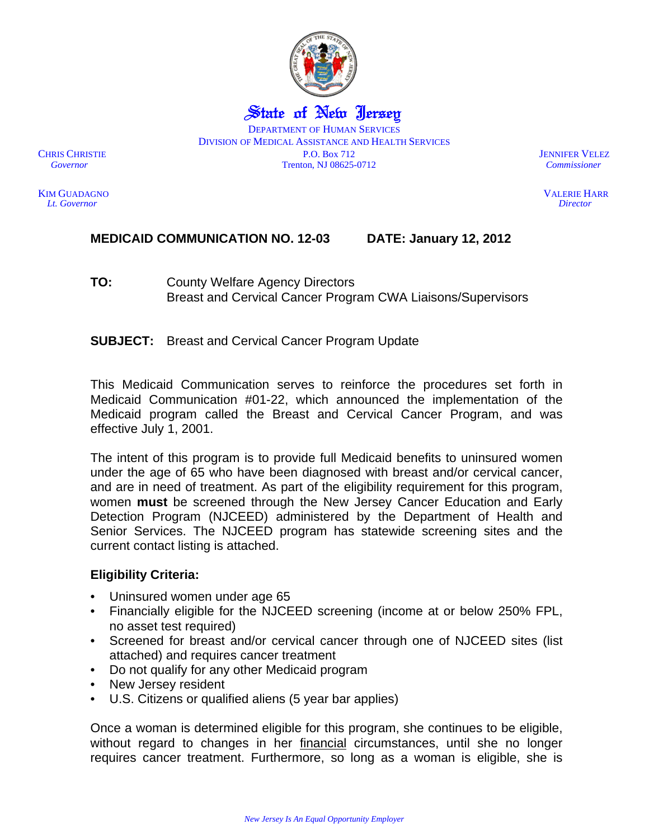

State of New Jersey DEPARTMENT OF HUMAN SERVICES DIVISION OF MEDICAL ASSISTANCE AND HEALTH SERVICES CHRIS CHRISTIE P.O. Box 712 JENNIFER VELEZ *Governor* Trenton, NJ 08625-0712 *Commissioner* 

KIM GUADAGNOVALERIE HARR  *Lt. Governor Director* 

# **MEDICAID COMMUNICATION NO. 12-03 DATE: January 12, 2012**

**SUBJECT:** Breast and Cervical Cancer Program Update

This Medicaid Communication serves to reinforce the procedures set forth in Medicaid Communication #01-22, which announced the implementation of the Medicaid program called the Breast and Cervical Cancer Program, and was effective July 1, 2001.

The intent of this program is to provide full Medicaid benefits to uninsured women under the age of 65 who have been diagnosed with breast and/or cervical cancer, and are in need of treatment. As part of the eligibility requirement for this program, women **must** be screened through the New Jersey Cancer Education and Early Detection Program (NJCEED) administered by the Department of Health and Senior Services. The NJCEED program has statewide screening sites and the current contact listing is attached.

# **Eligibility Criteria:**

- Uninsured women under age 65
- Financially eligible for the NJCEED screening (income at or below 250% FPL, no asset test required)
- Screened for breast and/or cervical cancer through one of NJCEED sites (list attached) and requires cancer treatment
- Do not qualify for any other Medicaid program
- New Jersey resident
- U.S. Citizens or qualified aliens (5 year bar applies)

Once a woman is determined eligible for this program, she continues to be eligible, without regard to changes in her financial circumstances, until she no longer requires cancer treatment. Furthermore, so long as a woman is eligible, she is

**TO:** County Welfare Agency Directors Breast and Cervical Cancer Program CWA Liaisons/Supervisors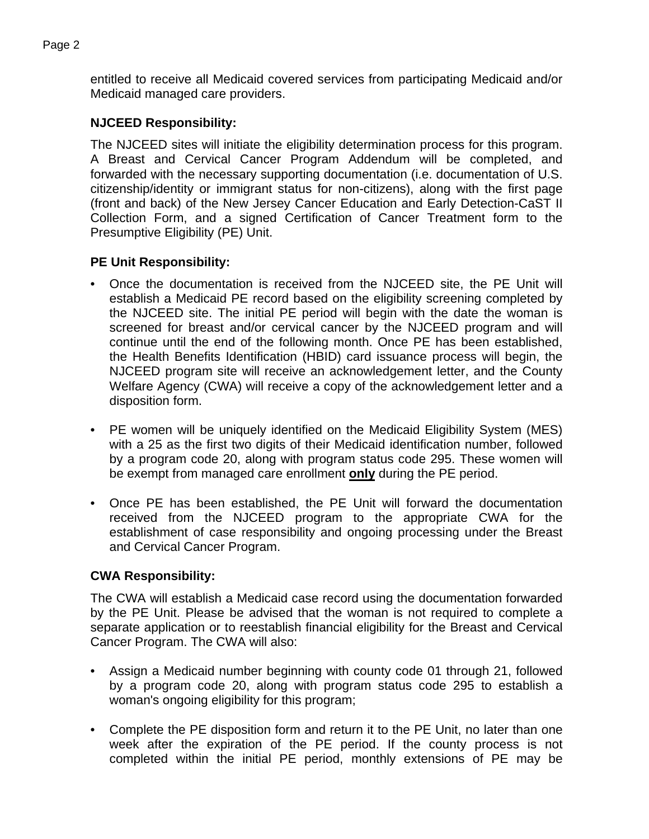entitled to receive all Medicaid covered services from participating Medicaid and/or Medicaid managed care providers.

# **NJCEED Responsibility:**

The NJCEED sites will initiate the eligibility determination process for this program. A Breast and Cervical Cancer Program Addendum will be completed, and forwarded with the necessary supporting documentation (i.e. documentation of U.S. citizenship/identity or immigrant status for non-citizens), along with the first page (front and back) of the New Jersey Cancer Education and Early Detection-CaST II Collection Form, and a signed Certification of Cancer Treatment form to the Presumptive Eligibility (PE) Unit.

# **PE Unit Responsibility:**

- Once the documentation is received from the NJCEED site, the PE Unit will establish a Medicaid PE record based on the eligibility screening completed by the NJCEED site. The initial PE period will begin with the date the woman is screened for breast and/or cervical cancer by the NJCEED program and will continue until the end of the following month. Once PE has been established, the Health Benefits Identification (HBID) card issuance process will begin, the NJCEED program site will receive an acknowledgement letter, and the County Welfare Agency (CWA) will receive a copy of the acknowledgement letter and a disposition form.
- PE women will be uniquely identified on the Medicaid Eligibility System (MES) with a 25 as the first two digits of their Medicaid identification number, followed by a program code 20, along with program status code 295. These women will be exempt from managed care enrollment **only** during the PE period.
- Once PE has been established, the PE Unit will forward the documentation received from the NJCEED program to the appropriate CWA for the establishment of case responsibility and ongoing processing under the Breast and Cervical Cancer Program.

# **CWA Responsibility:**

The CWA will establish a Medicaid case record using the documentation forwarded by the PE Unit. Please be advised that the woman is not required to complete a separate application or to reestablish financial eligibility for the Breast and Cervical Cancer Program. The CWA will also:

- Assign a Medicaid number beginning with county code 01 through 21, followed by a program code 20, along with program status code 295 to establish a woman's ongoing eligibility for this program;
- Complete the PE disposition form and return it to the PE Unit, no later than one week after the expiration of the PE period. If the county process is not completed within the initial PE period, monthly extensions of PE may be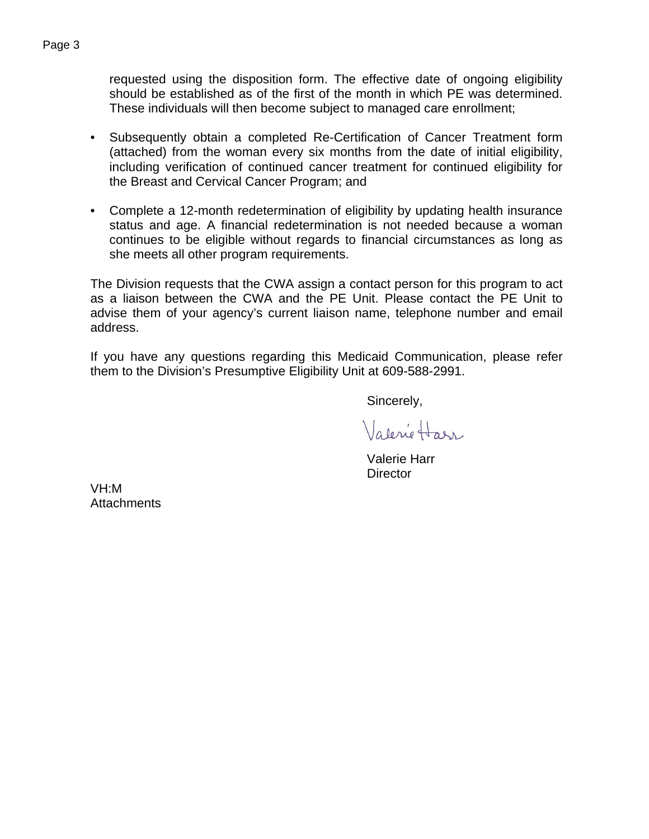requested using the disposition form. The effective date of ongoing eligibility should be established as of the first of the month in which PE was determined. These individuals will then become subject to managed care enrollment;

- Subsequently obtain a completed Re-Certification of Cancer Treatment form (attached) from the woman every six months from the date of initial eligibility, including verification of continued cancer treatment for continued eligibility for the Breast and Cervical Cancer Program; and
- Complete a 12-month redetermination of eligibility by updating health insurance status and age. A financial redetermination is not needed because a woman continues to be eligible without regards to financial circumstances as long as she meets all other program requirements.

The Division requests that the CWA assign a contact person for this program to act as a liaison between the CWA and the PE Unit. Please contact the PE Unit to advise them of your agency's current liaison name, telephone number and email address.

If you have any questions regarding this Medicaid Communication, please refer them to the Division's Presumptive Eligibility Unit at 609-588-2991.

Sincerely,

Valerie Harr

 Valerie Harr **Director** 

VH:M **Attachments**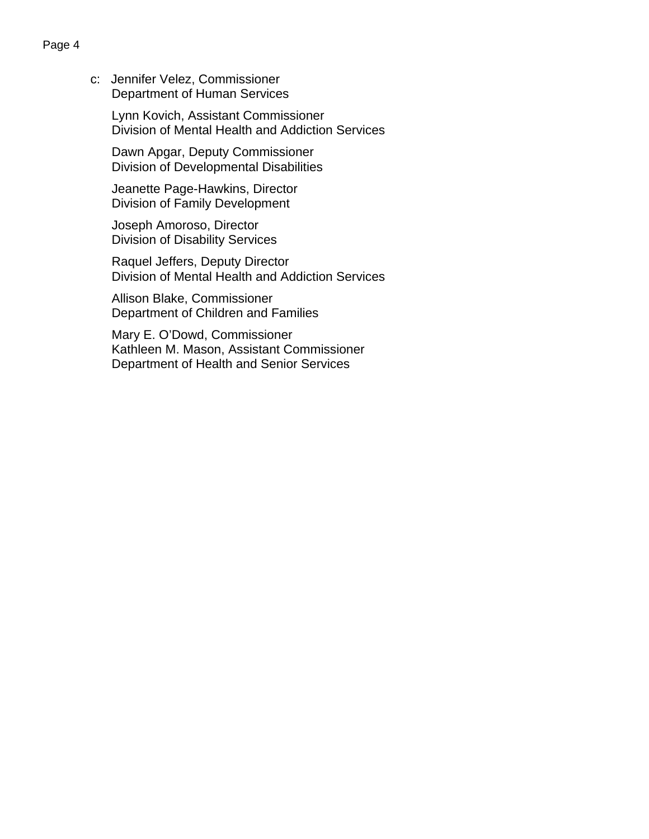c: Jennifer Velez, Commissioner Department of Human Services

> Lynn Kovich, Assistant Commissioner Division of Mental Health and Addiction Services

 Dawn Apgar, Deputy Commissioner Division of Developmental Disabilities

 Jeanette Page-Hawkins, Director Division of Family Development

 Joseph Amoroso, Director Division of Disability Services

 Raquel Jeffers, Deputy Director Division of Mental Health and Addiction Services

 Allison Blake, Commissioner Department of Children and Families

 Mary E. O'Dowd, Commissioner Kathleen M. Mason, Assistant Commissioner Department of Health and Senior Services

# Page 4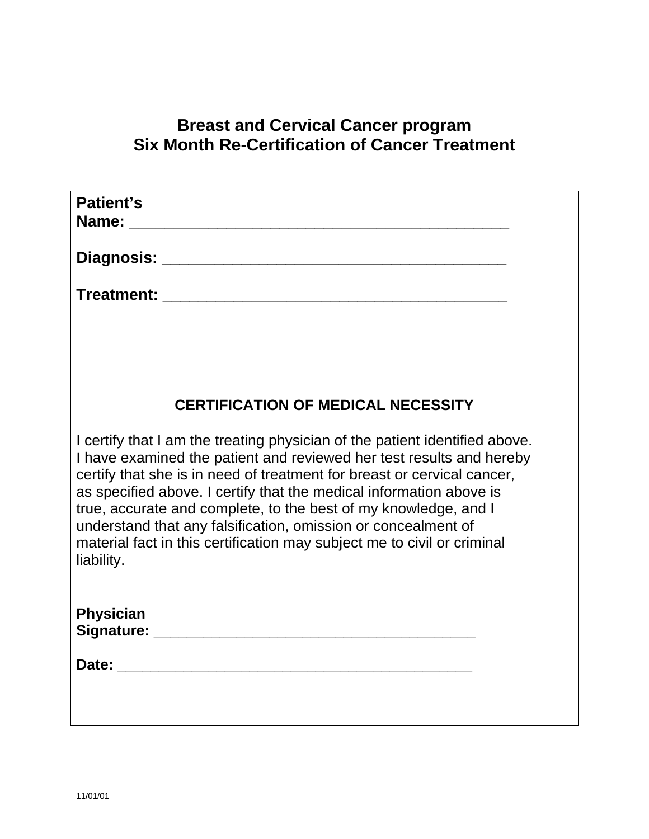# **Breast and Cervical Cancer program Six Month Re-Certification of Cancer Treatment**

| Patient's                                                                                                                                                                                                                                                                                                                                                                                                                                                                                                                          |  |
|------------------------------------------------------------------------------------------------------------------------------------------------------------------------------------------------------------------------------------------------------------------------------------------------------------------------------------------------------------------------------------------------------------------------------------------------------------------------------------------------------------------------------------|--|
|                                                                                                                                                                                                                                                                                                                                                                                                                                                                                                                                    |  |
|                                                                                                                                                                                                                                                                                                                                                                                                                                                                                                                                    |  |
|                                                                                                                                                                                                                                                                                                                                                                                                                                                                                                                                    |  |
|                                                                                                                                                                                                                                                                                                                                                                                                                                                                                                                                    |  |
| <b>CERTIFICATION OF MEDICAL NECESSITY</b>                                                                                                                                                                                                                                                                                                                                                                                                                                                                                          |  |
| I certify that I am the treating physician of the patient identified above.<br>I have examined the patient and reviewed her test results and hereby<br>certify that she is in need of treatment for breast or cervical cancer,<br>as specified above. I certify that the medical information above is<br>true, accurate and complete, to the best of my knowledge, and I<br>understand that any falsification, omission or concealment of<br>material fact in this certification may subject me to civil or criminal<br>liability. |  |
| <b>Physician</b>                                                                                                                                                                                                                                                                                                                                                                                                                                                                                                                   |  |
|                                                                                                                                                                                                                                                                                                                                                                                                                                                                                                                                    |  |